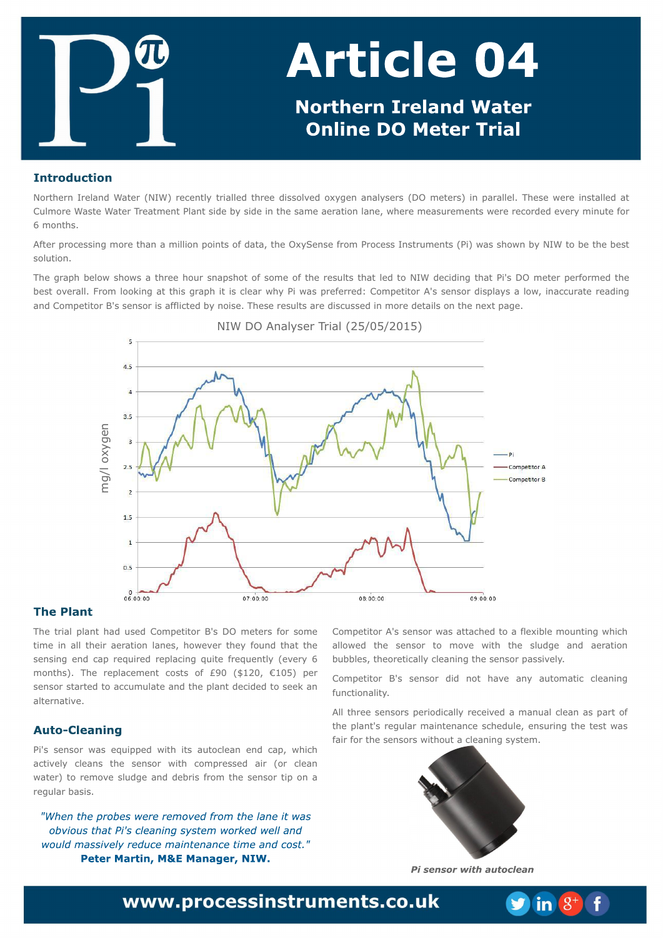Opsuifso Jsfmboe Xbufs )OJX \* sfdfouna usjbmfne uisffejttpmwfe pyzhfo bobnatfst )EP n fufst \* jo qbsbmfnm'Uiftf x fsfjotubmfne bu Dvm psf X btuf X bufs Usfbun fou Q hou tjef cz tjef jou ftbn f bfsbujponhof-xifsfn fbtvsfn fout x fsfsfdpsefe fwfsznjovufgps  $7$  n pou t/

Bgufsqspdfttjohn psf uibobn jmjpoqpjout pgebub-uif PyzTfotfgspn Qspdftt Jotusvnfout )Q\*xbt tipxoczOJX up cfuifcftu tpmupo/

Uif hsbai cfmpx tipxt buisffipvs tobatipupatpn fpaulf sftvmot uibumfe up OJX efdjejohuibu Qi(t EP n fufs afsapsn fe uif cftupwfsbm/n Gspn mppljoh bu uijthsbqi jujt drhbs x iz Qixbt qsfd ssfe; Dpn qfujps B(t tfotps ejtqrbzt b mpx - jobddvsbuf sfbejoh boe Dpn qf yups C(t tf otps jt bggjduf e cz opjtf / Uiftf sftvndt bsf ejtdvttfe jon psf ef ubjnh po uif ofyuqbhf/

OJX EP Bobmat f s Usibm) 3601603126\*

Uif usibmarbou i be vtfe Dpn afuiups C(t EP n fufst aps tpn f ujn f jo bmui fjs bfsbujpo mboft- i px fwfs ui fz govoe ui bu ui f tfotjoh foe dbg sfrvjsfe sfgrbdjoh rvjuf gsfrvfoum ) fwfsz 7 n pouit\*/ Uif sf qrbdf n f ou dpt ut pg, : 1 )%231- +216\* qf s tfotps tubsufe up bddvn vrhuf boe uif grhou ef djefe up tffl bo braf sobuwf /

Q(t tfotps x bt frvjqqfe x jui jut bvupdrfibo foe dbq-xijdi bdujwfm2 drhbot uif tfotps x jui dpn qsfttfe bjs )ps drhbo x bufs\* up sfn pwf tmaehf boe efcsjt gspn uif tfotps ujq po b sf hymbs cbtit/

Don af uiups B(t t f ot ps x bt bubdi f e up b a hyjer n pyoujoh x i jdj bmpxfe uif tfotps up n pwf x jui uif tmehf boe bfsbujpo cvccmt-uifpsfudbmadmhbojohuiftfotpsgbttjwfm2

Dpn qf uups C(t tf ot ps eje opu i bwf boz by upn buid drhbojoh gvodujpobrinuz/

Bmui sf f tf ot pst qf sjpejdbma sf df jwf e b n bovbmdrfibo bt qbsu pg uif qrbou(t sf hvrbs n bjouf obodf tdifevrh-fotvsjoh uif uftux bt objs ops ui f t f ot pst x jui pvub drhbojoh t z t uf n /